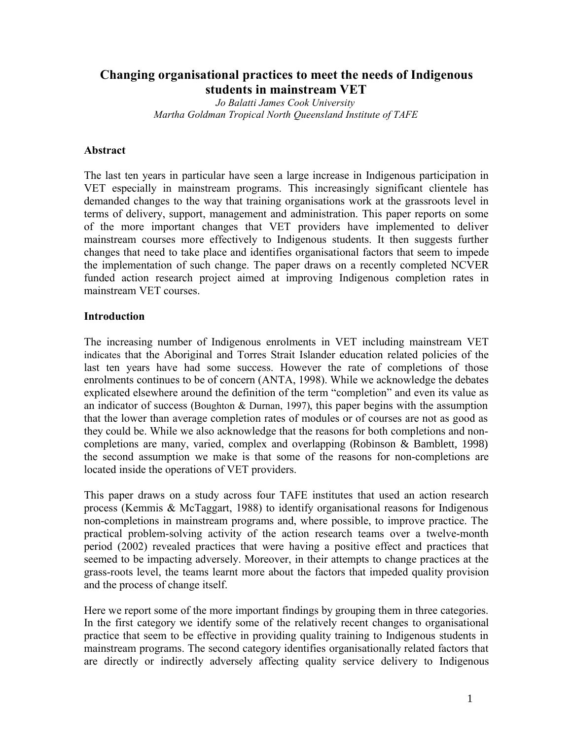# **Changing organisational practices to meet the needs of Indigenous students in mainstream VET**

*Jo Balatti James Cook University Martha Goldman Tropical North Queensland Institute of TAFE*

#### **Abstract**

The last ten years in particular have seen a large increase in Indigenous participation in VET especially in mainstream programs. This increasingly significant clientele has demanded changes to the way that training organisations work at the grassroots level in terms of delivery, support, management and administration. This paper reports on some of the more important changes that VET providers have implemented to deliver mainstream courses more effectively to Indigenous students. It then suggests further changes that need to take place and identifies organisational factors that seem to impede the implementation of such change. The paper draws on a recently completed NCVER funded action research project aimed at improving Indigenous completion rates in mainstream VET courses.

#### **Introduction**

The increasing number of Indigenous enrolments in VET including mainstream VET indicates that the Aboriginal and Torres Strait Islander education related policies of the last ten years have had some success. However the rate of completions of those enrolments continues to be of concern (ANTA, 1998). While we acknowledge the debates explicated elsewhere around the definition of the term "completion" and even its value as an indicator of success (Boughton & Durnan, 1997), this paper begins with the assumption that the lower than average completion rates of modules or of courses are not as good as they could be. While we also acknowledge that the reasons for both completions and noncompletions are many, varied, complex and overlapping (Robinson & Bamblett, 1998) the second assumption we make is that some of the reasons for non-completions are located inside the operations of VET providers.

This paper draws on a study across four TAFE institutes that used an action research process (Kemmis & McTaggart, 1988) to identify organisational reasons for Indigenous non-completions in mainstream programs and, where possible, to improve practice. The practical problem-solving activity of the action research teams over a twelve-month period (2002) revealed practices that were having a positive effect and practices that seemed to be impacting adversely. Moreover, in their attempts to change practices at the grass-roots level, the teams learnt more about the factors that impeded quality provision and the process of change itself.

Here we report some of the more important findings by grouping them in three categories. In the first category we identify some of the relatively recent changes to organisational practice that seem to be effective in providing quality training to Indigenous students in mainstream programs. The second category identifies organisationally related factors that are directly or indirectly adversely affecting quality service delivery to Indigenous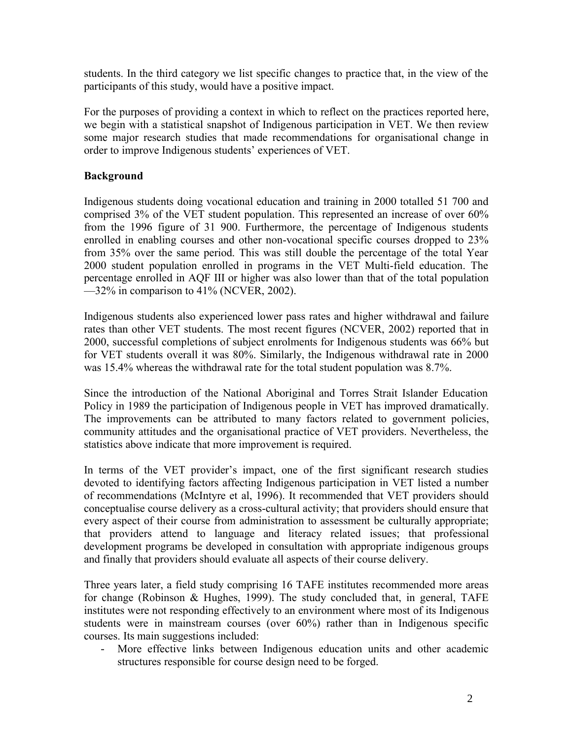students. In the third category we list specific changes to practice that, in the view of the participants of this study, would have a positive impact.

For the purposes of providing a context in which to reflect on the practices reported here, we begin with a statistical snapshot of Indigenous participation in VET. We then review some major research studies that made recommendations for organisational change in order to improve Indigenous students' experiences of VET.

## **Background**

Indigenous students doing vocational education and training in 2000 totalled 51 700 and comprised 3% of the VET student population. This represented an increase of over 60% from the 1996 figure of 31 900. Furthermore, the percentage of Indigenous students enrolled in enabling courses and other non-vocational specific courses dropped to 23% from 35% over the same period. This was still double the percentage of the total Year 2000 student population enrolled in programs in the VET Multi-field education. The percentage enrolled in AQF III or higher was also lower than that of the total population —32% in comparison to 41% (NCVER, 2002).

Indigenous students also experienced lower pass rates and higher withdrawal and failure rates than other VET students. The most recent figures (NCVER, 2002) reported that in 2000, successful completions of subject enrolments for Indigenous students was 66% but for VET students overall it was 80%. Similarly, the Indigenous withdrawal rate in 2000 was 15.4% whereas the withdrawal rate for the total student population was 8.7%.

Since the introduction of the National Aboriginal and Torres Strait Islander Education Policy in 1989 the participation of Indigenous people in VET has improved dramatically. The improvements can be attributed to many factors related to government policies, community attitudes and the organisational practice of VET providers. Nevertheless, the statistics above indicate that more improvement is required.

In terms of the VET provider's impact, one of the first significant research studies devoted to identifying factors affecting Indigenous participation in VET listed a number of recommendations (McIntyre et al, 1996). It recommended that VET providers should conceptualise course delivery as a cross-cultural activity; that providers should ensure that every aspect of their course from administration to assessment be culturally appropriate; that providers attend to language and literacy related issues; that professional development programs be developed in consultation with appropriate indigenous groups and finally that providers should evaluate all aspects of their course delivery.

Three years later, a field study comprising 16 TAFE institutes recommended more areas for change (Robinson & Hughes, 1999). The study concluded that, in general, TAFE institutes were not responding effectively to an environment where most of its Indigenous students were in mainstream courses (over 60%) rather than in Indigenous specific courses. Its main suggestions included:

More effective links between Indigenous education units and other academic structures responsible for course design need to be forged.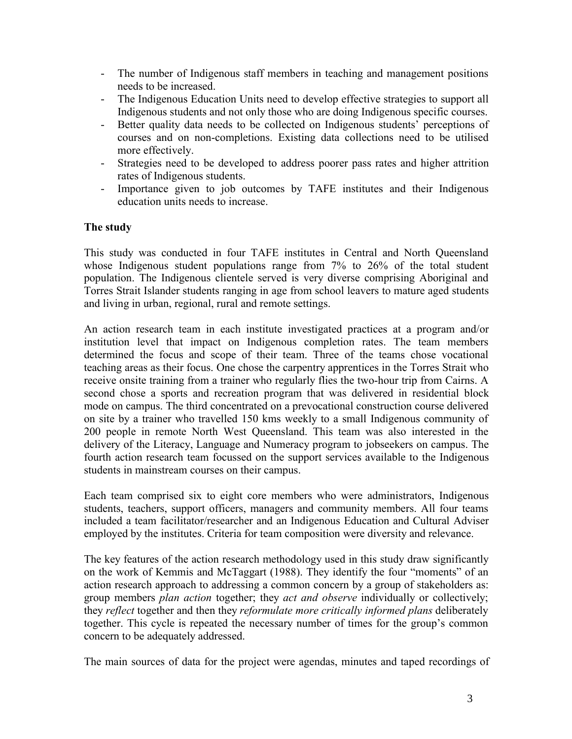- The number of Indigenous staff members in teaching and management positions needs to be increased.
- The Indigenous Education Units need to develop effective strategies to support all Indigenous students and not only those who are doing Indigenous specific courses.
- Better quality data needs to be collected on Indigenous students' perceptions of courses and on non-completions. Existing data collections need to be utilised more effectively.
- Strategies need to be developed to address poorer pass rates and higher attrition rates of Indigenous students.
- Importance given to job outcomes by TAFE institutes and their Indigenous education units needs to increase.

## **The study**

This study was conducted in four TAFE institutes in Central and North Queensland whose Indigenous student populations range from 7% to 26% of the total student population. The Indigenous clientele served is very diverse comprising Aboriginal and Torres Strait Islander students ranging in age from school leavers to mature aged students and living in urban, regional, rural and remote settings.

An action research team in each institute investigated practices at a program and/or institution level that impact on Indigenous completion rates. The team members determined the focus and scope of their team. Three of the teams chose vocational teaching areas as their focus. One chose the carpentry apprentices in the Torres Strait who receive onsite training from a trainer who regularly flies the two-hour trip from Cairns. A second chose a sports and recreation program that was delivered in residential block mode on campus. The third concentrated on a prevocational construction course delivered on site by a trainer who travelled 150 kms weekly to a small Indigenous community of 200 people in remote North West Queensland. This team was also interested in the delivery of the Literacy, Language and Numeracy program to jobseekers on campus. The fourth action research team focussed on the support services available to the Indigenous students in mainstream courses on their campus.

Each team comprised six to eight core members who were administrators, Indigenous students, teachers, support officers, managers and community members. All four teams included a team facilitator/researcher and an Indigenous Education and Cultural Adviser employed by the institutes. Criteria for team composition were diversity and relevance.

The key features of the action research methodology used in this study draw significantly on the work of Kemmis and McTaggart (1988). They identify the four "moments" of an action research approach to addressing a common concern by a group of stakeholders as: group members *plan action* together; they *act and observe* individually or collectively; they *reflect* together and then they *reformulate more critically informed plans* deliberately together. This cycle is repeated the necessary number of times for the group's common concern to be adequately addressed.

The main sources of data for the project were agendas, minutes and taped recordings of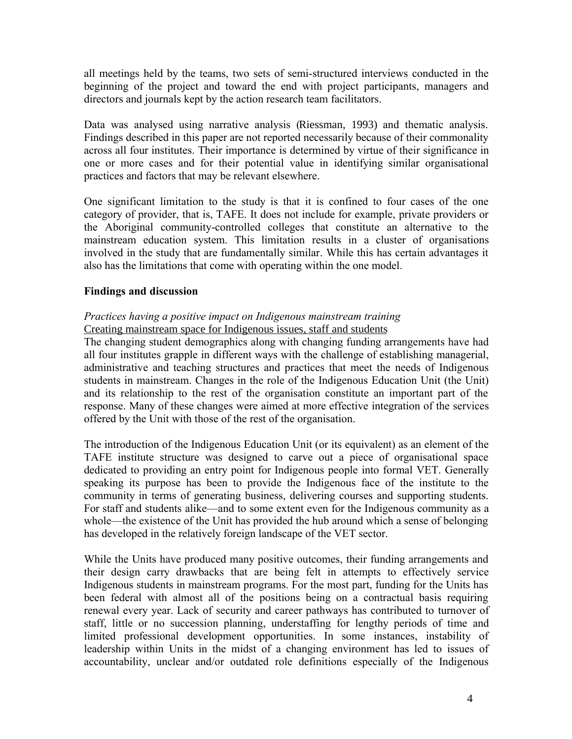all meetings held by the teams, two sets of semi-structured interviews conducted in the beginning of the project and toward the end with project participants, managers and directors and journals kept by the action research team facilitators.

Data was analysed using narrative analysis (Riessman, 1993) and thematic analysis. Findings described in this paper are not reported necessarily because of their commonality across all four institutes. Their importance is determined by virtue of their significance in one or more cases and for their potential value in identifying similar organisational practices and factors that may be relevant elsewhere.

One significant limitation to the study is that it is confined to four cases of the one category of provider, that is, TAFE. It does not include for example, private providers or the Aboriginal community-controlled colleges that constitute an alternative to the mainstream education system. This limitation results in a cluster of organisations involved in the study that are fundamentally similar. While this has certain advantages it also has the limitations that come with operating within the one model.

### **Findings and discussion**

### *Practices having a positive impact on Indigenous mainstream training* Creating mainstream space for Indigenous issues, staff and students

The changing student demographics along with changing funding arrangements have had all four institutes grapple in different ways with the challenge of establishing managerial, administrative and teaching structures and practices that meet the needs of Indigenous students in mainstream. Changes in the role of the Indigenous Education Unit (the Unit) and its relationship to the rest of the organisation constitute an important part of the response. Many of these changes were aimed at more effective integration of the services offered by the Unit with those of the rest of the organisation.

The introduction of the Indigenous Education Unit (or its equivalent) as an element of the TAFE institute structure was designed to carve out a piece of organisational space dedicated to providing an entry point for Indigenous people into formal VET. Generally speaking its purpose has been to provide the Indigenous face of the institute to the community in terms of generating business, delivering courses and supporting students. For staff and students alike—and to some extent even for the Indigenous community as a whole—the existence of the Unit has provided the hub around which a sense of belonging has developed in the relatively foreign landscape of the VET sector.

While the Units have produced many positive outcomes, their funding arrangements and their design carry drawbacks that are being felt in attempts to effectively service Indigenous students in mainstream programs. For the most part, funding for the Units has been federal with almost all of the positions being on a contractual basis requiring renewal every year. Lack of security and career pathways has contributed to turnover of staff, little or no succession planning, understaffing for lengthy periods of time and limited professional development opportunities. In some instances, instability of leadership within Units in the midst of a changing environment has led to issues of accountability, unclear and/or outdated role definitions especially of the Indigenous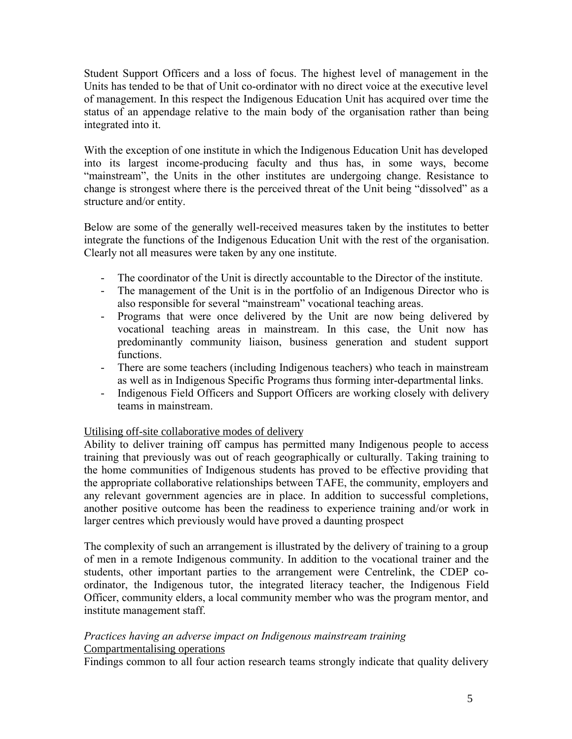Student Support Officers and a loss of focus. The highest level of management in the Units has tended to be that of Unit co-ordinator with no direct voice at the executive level of management. In this respect the Indigenous Education Unit has acquired over time the status of an appendage relative to the main body of the organisation rather than being integrated into it.

With the exception of one institute in which the Indigenous Education Unit has developed into its largest income-producing faculty and thus has, in some ways, become "mainstream", the Units in the other institutes are undergoing change. Resistance to change is strongest where there is the perceived threat of the Unit being "dissolved" as a structure and/or entity.

Below are some of the generally well-received measures taken by the institutes to better integrate the functions of the Indigenous Education Unit with the rest of the organisation. Clearly not all measures were taken by any one institute.

- The coordinator of the Unit is directly accountable to the Director of the institute.
- The management of the Unit is in the portfolio of an Indigenous Director who is also responsible for several "mainstream" vocational teaching areas.
- Programs that were once delivered by the Unit are now being delivered by vocational teaching areas in mainstream. In this case, the Unit now has predominantly community liaison, business generation and student support functions.
- There are some teachers (including Indigenous teachers) who teach in mainstream as well as in Indigenous Specific Programs thus forming inter-departmental links.
- Indigenous Field Officers and Support Officers are working closely with delivery teams in mainstream.

## Utilising off-site collaborative modes of delivery

Ability to deliver training off campus has permitted many Indigenous people to access training that previously was out of reach geographically or culturally. Taking training to the home communities of Indigenous students has proved to be effective providing that the appropriate collaborative relationships between TAFE, the community, employers and any relevant government agencies are in place. In addition to successful completions, another positive outcome has been the readiness to experience training and/or work in larger centres which previously would have proved a daunting prospect

The complexity of such an arrangement is illustrated by the delivery of training to a group of men in a remote Indigenous community. In addition to the vocational trainer and the students, other important parties to the arrangement were Centrelink, the CDEP coordinator, the Indigenous tutor, the integrated literacy teacher, the Indigenous Field Officer, community elders, a local community member who was the program mentor, and institute management staff.

### *Practices having an adverse impact on Indigenous mainstream training* Compartmentalising operations

Findings common to all four action research teams strongly indicate that quality delivery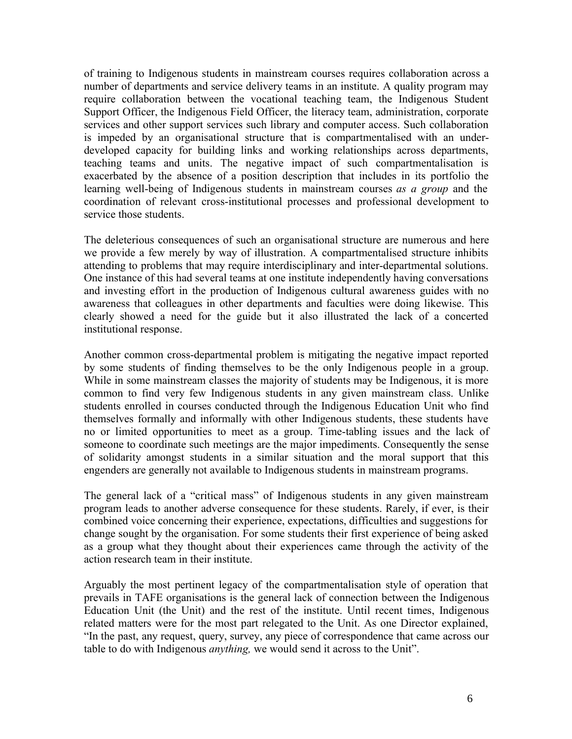of training to Indigenous students in mainstream courses requires collaboration across a number of departments and service delivery teams in an institute. A quality program may require collaboration between the vocational teaching team, the Indigenous Student Support Officer, the Indigenous Field Officer, the literacy team, administration, corporate services and other support services such library and computer access. Such collaboration is impeded by an organisational structure that is compartmentalised with an underdeveloped capacity for building links and working relationships across departments, teaching teams and units. The negative impact of such compartmentalisation is exacerbated by the absence of a position description that includes in its portfolio the learning well-being of Indigenous students in mainstream courses *as a group* and the coordination of relevant cross-institutional processes and professional development to service those students.

The deleterious consequences of such an organisational structure are numerous and here we provide a few merely by way of illustration. A compartmentalised structure inhibits attending to problems that may require interdisciplinary and inter-departmental solutions. One instance of this had several teams at one institute independently having conversations and investing effort in the production of Indigenous cultural awareness guides with no awareness that colleagues in other departments and faculties were doing likewise. This clearly showed a need for the guide but it also illustrated the lack of a concerted institutional response.

Another common cross-departmental problem is mitigating the negative impact reported by some students of finding themselves to be the only Indigenous people in a group. While in some mainstream classes the majority of students may be Indigenous, it is more common to find very few Indigenous students in any given mainstream class. Unlike students enrolled in courses conducted through the Indigenous Education Unit who find themselves formally and informally with other Indigenous students, these students have no or limited opportunities to meet as a group. Time-tabling issues and the lack of someone to coordinate such meetings are the major impediments. Consequently the sense of solidarity amongst students in a similar situation and the moral support that this engenders are generally not available to Indigenous students in mainstream programs.

The general lack of a "critical mass" of Indigenous students in any given mainstream program leads to another adverse consequence for these students. Rarely, if ever, is their combined voice concerning their experience, expectations, difficulties and suggestions for change sought by the organisation. For some students their first experience of being asked as a group what they thought about their experiences came through the activity of the action research team in their institute.

Arguably the most pertinent legacy of the compartmentalisation style of operation that prevails in TAFE organisations is the general lack of connection between the Indigenous Education Unit (the Unit) and the rest of the institute. Until recent times, Indigenous related matters were for the most part relegated to the Unit. As one Director explained, "In the past, any request, query, survey, any piece of correspondence that came across our table to do with Indigenous *anything,* we would send it across to the Unit".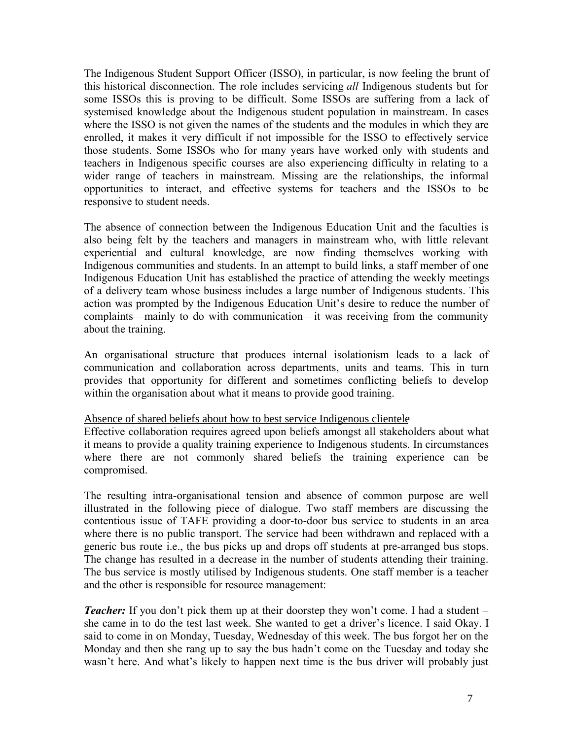The Indigenous Student Support Officer (ISSO), in particular, is now feeling the brunt of this historical disconnection. The role includes servicing *all* Indigenous students but for some ISSOs this is proving to be difficult. Some ISSOs are suffering from a lack of systemised knowledge about the Indigenous student population in mainstream. In cases where the ISSO is not given the names of the students and the modules in which they are enrolled, it makes it very difficult if not impossible for the ISSO to effectively service those students. Some ISSOs who for many years have worked only with students and teachers in Indigenous specific courses are also experiencing difficulty in relating to a wider range of teachers in mainstream. Missing are the relationships, the informal opportunities to interact, and effective systems for teachers and the ISSOs to be responsive to student needs.

The absence of connection between the Indigenous Education Unit and the faculties is also being felt by the teachers and managers in mainstream who, with little relevant experiential and cultural knowledge, are now finding themselves working with Indigenous communities and students. In an attempt to build links, a staff member of one Indigenous Education Unit has established the practice of attending the weekly meetings of a delivery team whose business includes a large number of Indigenous students. This action was prompted by the Indigenous Education Unit's desire to reduce the number of complaints—mainly to do with communication—it was receiving from the community about the training.

An organisational structure that produces internal isolationism leads to a lack of communication and collaboration across departments, units and teams. This in turn provides that opportunity for different and sometimes conflicting beliefs to develop within the organisation about what it means to provide good training.

#### Absence of shared beliefs about how to best service Indigenous clientele

Effective collaboration requires agreed upon beliefs amongst all stakeholders about what it means to provide a quality training experience to Indigenous students. In circumstances where there are not commonly shared beliefs the training experience can be compromised.

The resulting intra-organisational tension and absence of common purpose are well illustrated in the following piece of dialogue. Two staff members are discussing the contentious issue of TAFE providing a door-to-door bus service to students in an area where there is no public transport. The service had been withdrawn and replaced with a generic bus route i.e., the bus picks up and drops off students at pre-arranged bus stops. The change has resulted in a decrease in the number of students attending their training. The bus service is mostly utilised by Indigenous students. One staff member is a teacher and the other is responsible for resource management:

*Teacher:* If you don't pick them up at their doorstep they won't come. I had a student – she came in to do the test last week. She wanted to get a driver's licence. I said Okay. I said to come in on Monday, Tuesday, Wednesday of this week. The bus forgot her on the Monday and then she rang up to say the bus hadn't come on the Tuesday and today she wasn't here. And what's likely to happen next time is the bus driver will probably just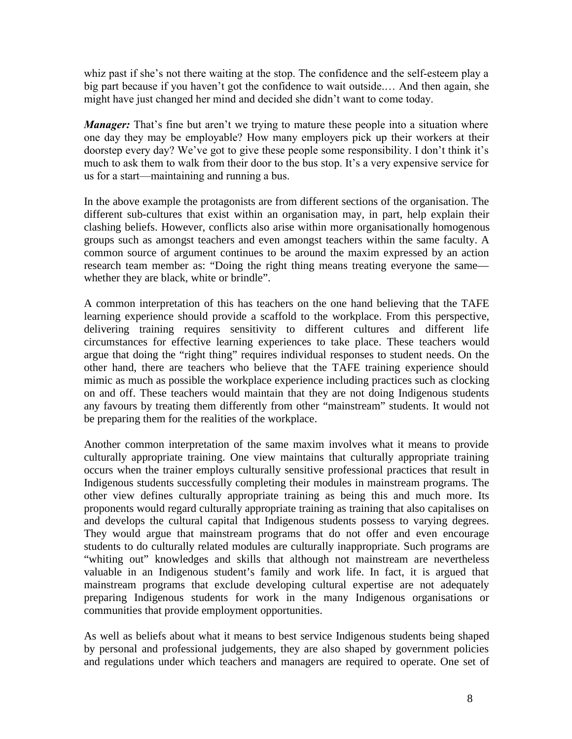whiz past if she's not there waiting at the stop. The confidence and the self-esteem play a big part because if you haven't got the confidence to wait outside.… And then again, she might have just changed her mind and decided she didn't want to come today.

*Manager*: That's fine but aren't we trying to mature these people into a situation where one day they may be employable? How many employers pick up their workers at their doorstep every day? We've got to give these people some responsibility. I don't think it's much to ask them to walk from their door to the bus stop. It's a very expensive service for us for a start—maintaining and running a bus.

In the above example the protagonists are from different sections of the organisation. The different sub-cultures that exist within an organisation may, in part, help explain their clashing beliefs. However, conflicts also arise within more organisationally homogenous groups such as amongst teachers and even amongst teachers within the same faculty. A common source of argument continues to be around the maxim expressed by an action research team member as: "Doing the right thing means treating everyone the same whether they are black, white or brindle".

A common interpretation of this has teachers on the one hand believing that the TAFE learning experience should provide a scaffold to the workplace. From this perspective, delivering training requires sensitivity to different cultures and different life circumstances for effective learning experiences to take place. These teachers would argue that doing the "right thing" requires individual responses to student needs. On the other hand, there are teachers who believe that the TAFE training experience should mimic as much as possible the workplace experience including practices such as clocking on and off. These teachers would maintain that they are not doing Indigenous students any favours by treating them differently from other "mainstream" students. It would not be preparing them for the realities of the workplace.

Another common interpretation of the same maxim involves what it means to provide culturally appropriate training. One view maintains that culturally appropriate training occurs when the trainer employs culturally sensitive professional practices that result in Indigenous students successfully completing their modules in mainstream programs. The other view defines culturally appropriate training as being this and much more. Its proponents would regard culturally appropriate training as training that also capitalises on and develops the cultural capital that Indigenous students possess to varying degrees. They would argue that mainstream programs that do not offer and even encourage students to do culturally related modules are culturally inappropriate. Such programs are "whiting out" knowledges and skills that although not mainstream are nevertheless valuable in an Indigenous student's family and work life. In fact, it is argued that mainstream programs that exclude developing cultural expertise are not adequately preparing Indigenous students for work in the many Indigenous organisations or communities that provide employment opportunities.

As well as beliefs about what it means to best service Indigenous students being shaped by personal and professional judgements, they are also shaped by government policies and regulations under which teachers and managers are required to operate. One set of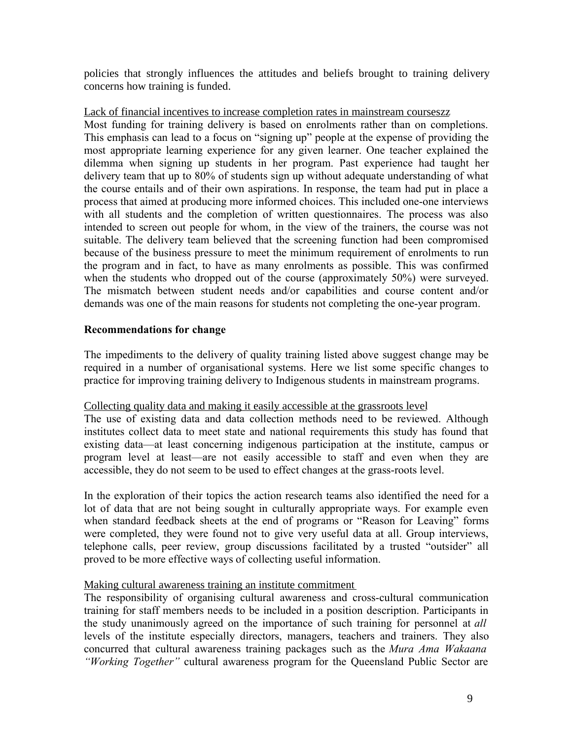policies that strongly influences the attitudes and beliefs brought to training delivery concerns how training is funded.

### Lack of financial incentives to increase completion rates in mainstream courseszz

Most funding for training delivery is based on enrolments rather than on completions. This emphasis can lead to a focus on "signing up" people at the expense of providing the most appropriate learning experience for any given learner. One teacher explained the dilemma when signing up students in her program. Past experience had taught her delivery team that up to 80% of students sign up without adequate understanding of what the course entails and of their own aspirations. In response, the team had put in place a process that aimed at producing more informed choices. This included one-one interviews with all students and the completion of written questionnaires. The process was also intended to screen out people for whom, in the view of the trainers, the course was not suitable. The delivery team believed that the screening function had been compromised because of the business pressure to meet the minimum requirement of enrolments to run the program and in fact, to have as many enrolments as possible. This was confirmed when the students who dropped out of the course (approximately 50%) were surveyed. The mismatch between student needs and/or capabilities and course content and/or demands was one of the main reasons for students not completing the one-year program.

### **Recommendations for change**

The impediments to the delivery of quality training listed above suggest change may be required in a number of organisational systems. Here we list some specific changes to practice for improving training delivery to Indigenous students in mainstream programs.

## Collecting quality data and making it easily accessible at the grassroots level

The use of existing data and data collection methods need to be reviewed. Although institutes collect data to meet state and national requirements this study has found that existing data—at least concerning indigenous participation at the institute, campus or program level at least—are not easily accessible to staff and even when they are accessible, they do not seem to be used to effect changes at the grass-roots level.

In the exploration of their topics the action research teams also identified the need for a lot of data that are not being sought in culturally appropriate ways. For example even when standard feedback sheets at the end of programs or "Reason for Leaving" forms were completed, they were found not to give very useful data at all. Group interviews, telephone calls, peer review, group discussions facilitated by a trusted "outsider" all proved to be more effective ways of collecting useful information.

## Making cultural awareness training an institute commitment

The responsibility of organising cultural awareness and cross-cultural communication training for staff members needs to be included in a position description. Participants in the study unanimously agreed on the importance of such training for personnel at *all* levels of the institute especially directors, managers, teachers and trainers. They also concurred that cultural awareness training packages such as the *Mura Ama Wakaana "Working Together"* cultural awareness program for the Queensland Public Sector are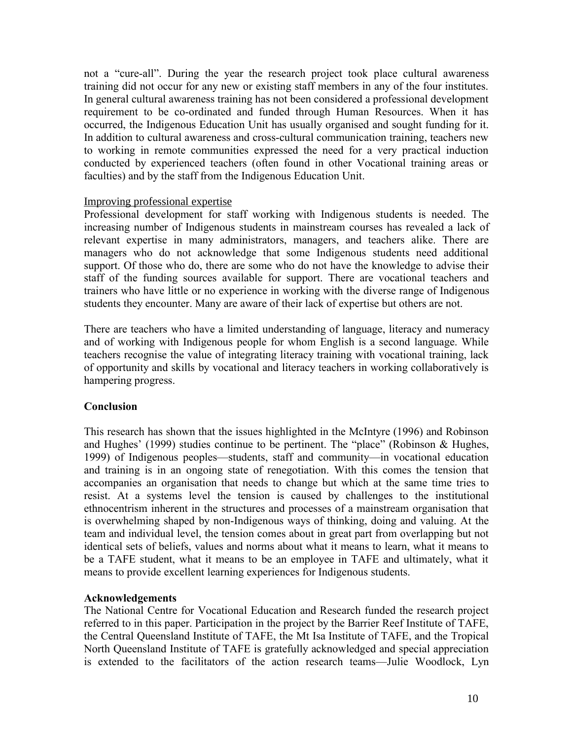not a "cure-all". During the year the research project took place cultural awareness training did not occur for any new or existing staff members in any of the four institutes. In general cultural awareness training has not been considered a professional development requirement to be co-ordinated and funded through Human Resources. When it has occurred, the Indigenous Education Unit has usually organised and sought funding for it. In addition to cultural awareness and cross-cultural communication training, teachers new to working in remote communities expressed the need for a very practical induction conducted by experienced teachers (often found in other Vocational training areas or faculties) and by the staff from the Indigenous Education Unit.

#### Improving professional expertise

Professional development for staff working with Indigenous students is needed. The increasing number of Indigenous students in mainstream courses has revealed a lack of relevant expertise in many administrators, managers, and teachers alike. There are managers who do not acknowledge that some Indigenous students need additional support. Of those who do, there are some who do not have the knowledge to advise their staff of the funding sources available for support. There are vocational teachers and trainers who have little or no experience in working with the diverse range of Indigenous students they encounter. Many are aware of their lack of expertise but others are not.

There are teachers who have a limited understanding of language, literacy and numeracy and of working with Indigenous people for whom English is a second language. While teachers recognise the value of integrating literacy training with vocational training, lack of opportunity and skills by vocational and literacy teachers in working collaboratively is hampering progress.

#### **Conclusion**

This research has shown that the issues highlighted in the McIntyre (1996) and Robinson and Hughes' (1999) studies continue to be pertinent. The "place" (Robinson & Hughes, 1999) of Indigenous peoples—students, staff and community—in vocational education and training is in an ongoing state of renegotiation. With this comes the tension that accompanies an organisation that needs to change but which at the same time tries to resist. At a systems level the tension is caused by challenges to the institutional ethnocentrism inherent in the structures and processes of a mainstream organisation that is overwhelming shaped by non-Indigenous ways of thinking, doing and valuing. At the team and individual level, the tension comes about in great part from overlapping but not identical sets of beliefs, values and norms about what it means to learn, what it means to be a TAFE student, what it means to be an employee in TAFE and ultimately, what it means to provide excellent learning experiences for Indigenous students.

#### **Acknowledgements**

The National Centre for Vocational Education and Research funded the research project referred to in this paper. Participation in the project by the Barrier Reef Institute of TAFE, the Central Queensland Institute of TAFE, the Mt Isa Institute of TAFE, and the Tropical North Queensland Institute of TAFE is gratefully acknowledged and special appreciation is extended to the facilitators of the action research teams—Julie Woodlock, Lyn